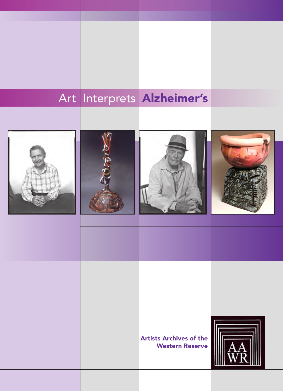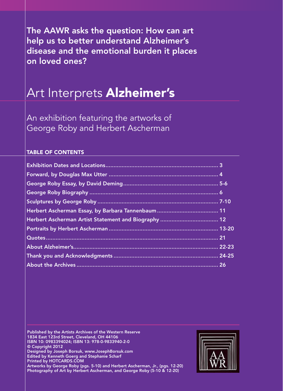The AAWR asks the question: How can art help us to better understand Alzheimer's disease and the emotional burden it places on loved ones?

# Art Interprets Alzheimer's

An exhibition featuring the artworks of George Roby and Herbert Ascherman

# TABLE OF CONTENTS

Published by the Artists Archives of the Western Reserve 1834 East 123rd Street, Cleveland, OH 44106 ISBN 10: 0983394024; ISBN 13: 978-0-9833940-2-0 © Copyright 2012 Designed by Joseph Borsuk, www.JosephBorsuk.com Edited by Kenneth Goerg and Stephanie Scharf Printed by HOTCARDS.COM Artworks by George Roby (pgs. 5-10) and Herbert Ascherman, Jr., (pgs. 12-20) Photography of Art by Herbert Ascherman, and George Roby (5-10 & 12-20)

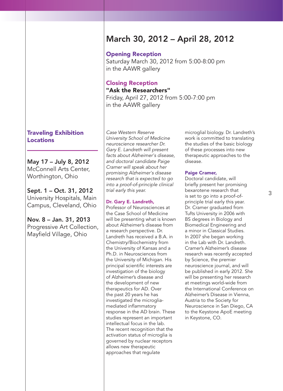# Traveling Exhibition Locations

May 17 – July 8, 2012 McConnell Arts Center, Worthington, Ohio

Sept. 1 – Oct. 31, 2012 University Hospitals, Main Campus, Cleveland, Ohio

Nov. 8 – Jan. 31, 2013 Progressive Art Collection, Mayfield Village, Ohio

*Case Western Reserve University School of Medicine neuroscience researcher Dr. Gary E. Landreth will present facts about Alzheimer's disease, and doctoral candidate Paige Cramer will speak about her promising Alzheimer's disease research that is expected to go into a proof-of-principle clinical trial early this year.*

# Dr. Gary E. Landreth,

Professor of Neurosciences at the Case School of Medicine will be presenting what is known about Alzheimer's disease from a research perspective. Dr. Landreth has received a B.A. in Chemistry/Biochemistry from the University of Kansas and a Ph.D. in Neurosciences from the University of Michigan. His principal scientific interests are investigation of the biology of Alzheimer's disease and the development of new therapeutics for AD. Over the past 20 years he has investigated the microgliamediated inflammatory response in the AD brain. These studies represent an important intellectual focus in the lab. The recent recognition that the activation status of microglia is governed by nuclear receptors allows new therapeutic approaches that regulate

microglial biology. Dr. Landreth's work is committed to translating the studies of the basic biology of these processes into new therapeutic approaches to the disease.

### Paige Cramer,

Doctoral candidate, will briefly present her promising bexarotene research that is set to go into a proof-ofprinciple trial early this year. Dr. Cramer graduated from Tufts University in 2006 with BS degrees in Biology and Biomedical Engineering and a minor in Classical Studies. In 2007 she began working in the Lab with Dr. Landreth. Cramer's Alzheimer's disease research was recently accepted by Science, the premier neuroscience journal, and will be published in early 2012. She will be presenting her research at meetings world-wide from the International Conference on Alzheimer's Disease in Vienna, Austria to the Society for Neuroscience in San Diego, CA to the Keystone ApoE meeting in Keystone, CO.

# March 30, 2012 – April 28, 2012

Opening Reception

Saturday March 30, 2012 from 5:00-8:00 pm in the AAWR gallery

# Closing Reception "Ask the Researchers"

Friday, April 27, 2012 from 5:00-7:00 pm in the AAWR gallery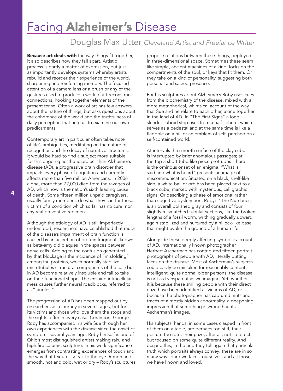# Facing Alzheimer's Disease

# Douglas Max Utter *Cleveland Artist and Freelance Writer*

**Because art deals with** the way things fit together, it also describes how they fall apart. Artistic process is partly a matter of expression, but just as importantly develops systems whereby artists rebuild and reorder their experience of the world, sharpening and reinforcing memory. The focused attention of a camera lens or a brush or any of the gestures used to produce a work of art reconstruct connections, hooking together elements of the present tense. Often a work of art has few answers about the nature of things, but asks questions about the coherence of the world and the truthfulness of daily perception that help us to examine our own predicaments.

Contemporary art in particular often takes note of life's ambiguities, meditating on the nature of recognition and the decay of narrative structures. It would be hard to find a subject more suitable for this ongoing aesthetic project than Alzheimer's disease (AD), a progressive brain disorder that impacts every phase of cognition and currently affects more than five million Americans. In 2006 alone, more than 72,000 died from the ravages of AD, which now is the nation's sixth leading cause of death. Some fifteen million unpaid caregivers, usually family members, do what they can for these victims of a condition which so far has no cure, nor any real preventive regimen.

Although the etiology of AD is still imperfectly understood, researchers have established that much of the disease's impairment of brain function is caused by an accretion of protein fragments known as beta-amyloid plaques in the spaces between nerve cells. Adding to the confusion generated by that blockage is the incidence of "misfolding" among tau proteins, which normally stabilize microtubules (structural components of the cell) but in AD become relatively insoluble and fail to take on their functional shape. The ensuing intracellular mess causes further neural roadblocks, referred to as "tangles."

The progression of AD has been mapped out by researchers as a journey in seven stages, but for its victims and those who love them the stops and the sights differ in every case. Ceramicist George Roby has accompanied his wife Sue through her own experiences with the disease since the onset of symptoms several years ago. Roby himself is one of Ohio's most distinguished artists making raku and high fire ceramic sculpture. In his work significance emerges from contrasting experiences of touch and the way that textures speak to the eye. Rough and smooth, hot and cold, wet or dry – Roby's sculptures

propose relations between these things, deployed in three-dimensional space. Sometimes these seem like simple, ancient machines of a kind, locks on the compartments of the soul, or keys that fit them. Or they take on a kind of personality, suggesting both personal and sacred presence.

For his sculptures about Alzheimer's Roby uses cues from the biochemistry of the disease, mixed with a more metaphorical, whimsical account of the way that Sue and he relate to each other, alone together in the land of AD. In "The First Signs" a long, slender cuboid strip rises from a half-sphere, which serves as a pedestal and at the same time is like a flagpole on a hill or an emblem of self, perched on a self-contained world.

At intervals the smooth surface of the clay cube is interrupted by brief anomalous passages; at the top a short tube-like piece protrudes – here is the ominous onset of an enigma. "What is said and what is heard" presents an image of miscommunication: Situated on a black, shelf-like slab, a white ball or orb has been placed next to a black cube, marked with mysterious, calligraphic signs. Or describing a phase of emotional rather than cognitive dysfunction, Roby's "The Numbness" is an overall polished gray and consists of four slightly mismatched tubular sections, like the broken lengths of a fossil worm, writhing gradually upward, again stabilized and nurtured by a hillock-like base that might evoke the ground of a human life.

Alongside these deeply affecting symbolic accounts of AD, internationally known photographer Herbert Ascherman has contributed fifteen portrait photographs of people with AD, literally putting faces on the disease. Most of Ascherman's subjects could easily be mistaken for reasonably content, intelligent, quite normal older persons; the disease is not as transparent as we imagine. Yet, whether it is because these smiling people with their direct gaze have been identified as victims of AD, or because the photographer has captured hints and traces of a mostly hidden abnormality, a deepening impression that something is wrong haunts Ascherman's images.

His subjects' hands, in some cases clasped in front of them on a table, are perhaps too stiff, their posture too rote, their gaze, after all, not so direct, but focused on some quite different reality. And despite this, in the end they tell again that particular truth which portraits always convey: these are in so many ways our own faces, ourselves, and all those we have known and loved.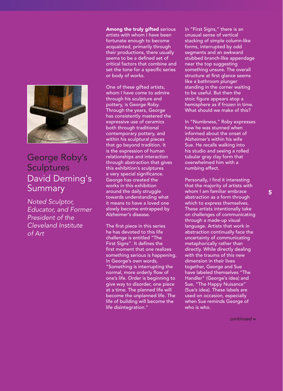

# George Roby's **Sculptures** David Deming's **Summary**

*Noted Sculptor, Educator, and Former President of the Cleveland Institute of Art*

Among the truly gifted serious artists with whom I have been fortunate enough to become acquainted, primarily through their productions, there usually seems to be a defined set of critical factors that combine and set the tone for a specific series or body of works.

One of these gifted artists, whom I have come to admire through his sculpture and pottery, is George Roby. Through the years, George has consistently mastered the expressive use of ceramics both through traditional contemporary pottery, and within his sculptural pieces that go beyond tradition. It is the expression of human relationships and interaction through abstraction that gives this exhibition's sculptures a very special significance. George has created the works in this exhibition around the daily struggle towards understanding what it means to have a loved one slowly become entrapped by Alzheimer's disease.

The first piece in this series he has devoted to this life challenge is entitled "The First Signs". It defines the first moment that one realizes something serious is happening. In George's own words, "Something is interrupting the normal, more orderly flow of one's life. Order is beginning to give way to disorder, one piece at a time. The planned life will become the unplanned life. The life of building will become the life disintegration."

In "First Signs," there is an unusual sense of vertical stacking of simple column-like forms, interrupted by odd segments and an awkward stubbed branch-like appendage near the top suggesting something unsure. The overall structure at first glance seems like a bathroom plunger standing in the corner waiting to be useful. But then the stoic figure appears atop a hemisphere as if frozen in time. What should we make of this?

In "Numbness," Roby expresses how he was stunned when informed about the onset of Alzheimer's within his wife Sue. He recalls walking into his studio and seeing a rolled tubular gray clay form that overwhelmed him with a numbing effect.

Personally, I find it interesting that the majority of artists with whom I am familiar embrace abstraction as a form through which to express themselves. These artists intentionally take on challenges of communicating through a made-up visual language. Artists that work in abstraction continually face the uncertainty of communicating metaphorically rather than directly. While directly dealing with the trauma of this new dimension in their lives together, George and Sue have labeled themselves "The Handler" (George's idea) and Sue, "The Happy Nuisance" (Sue's idea). These labels are used on occasion, especially when Sue reminds George of who is who.

*continued »*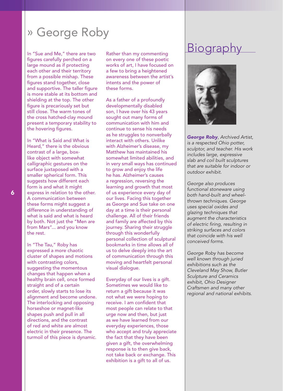# » George Roby

In "Sue and Me," there are two figures carefully perched on a large mound as if protecting each other and their territory from a possible mishap. These figures stand together, close and supportive. The taller figure is more stable at its bottom and shielding at the top. The other figure is precariously set but still close. The warm tones of the cross hatched-clay mound present a temporary stability to the hovering figures.

In "What is Said and What is Heard," there is the obvious contrast of a large, boxlike object with somewhat calligraphic gestures on the surface juxtaposed with a smaller spherical form. This suggests how different each form is and what it might express in relation to the other. A communication between these forms might suggest a difference in understanding of what is said and what is heard by both. Not just the "Men are from Mars"... and you know the rest.

In "The Tau," Roby has expressed a more chaotic cluster of shapes and motions with contrasting colors, suggesting the momentous changes that happen when a healthy brain cell, once formed straight and of a certain order, slowly starts to lose its alignment and become undone. The interlocking and opposing horseshoe or magnet-like shapes push and pull in all directions, and the contrast of red and white are almost electric in their presence. The turmoil of this piece is dynamic.

Rather than my commenting on every one of these poetic works of art, I have focused on a few to bring a heightened awareness between the artist's intents and the power of these forms.

As a father of a profoundly developmentally disabled son, I have over his 43 years sought out many forms of communication with him and continue to sense his needs as he struggles to nonverbally interact with others. Unlike with Alzheimer's disease, my Matthew has maintained his somewhat limited abilities, and in very small ways has continued to grow and enjoy the life he has. Alzheimer's causes a regression, reversing the learning and growth that most of us experience every day of our lives. Facing this together as George and Sue take on one day at a time is their personal challenge. All of their friends and family are affected by this journey. Sharing their struggle through this wonderfully personal collection of sculptural bookmarks in time allows all of us to delve deeply into the art of communication through this moving and heartfelt personal visual dialogue.

Everyday of our lives is a gift. Sometimes we would like to return a gift because it was not what we were hoping to receive. I am confident that most people can relate to that urge now and then, but just as we have learned from our everyday experiences, those who accept and truly appreciate the fact that they have been given a gift, the overwhelming response is to then give back, not take back or exchange. This exhibition is a gift to all of us.

# **Biography**



*George Roby, Archived Artist, is a respected Ohio potter, sculptor, and teacher. His work includes large, expressive slab and coil built sculptures that are suitable for indoor or outdoor exhibit.* 

*George also produces functional stoneware using both hand-built and wheelthrown techniques. George uses special oxides and glazing techniques that augment the characteristics of electric firing, resulting in striking surfaces and colors that coincide with his well conceived forms.* 

*George Roby has become well known through juried exhibitions such as the Cleveland May Show, Butler Sculpture and Ceramics exhibit, Ohio Designer Craftsmen and many other regional and national exhibits.*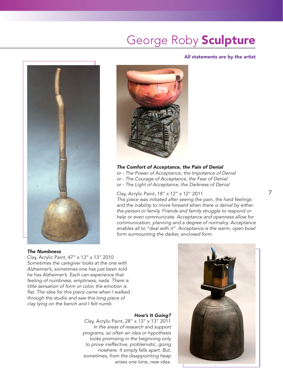# George Roby Sculpture

### All statements are by the artist





# *The Comfort of Acceptance, the Pain of Denial*

*or - The Power of Acceptance, the Impotence of Denial or - The Courage of Acceptance, the Fear of Denial or - The Light of Acceptance, the Darkness of Denial*

# Clay, Acrylic Paint, 18" x 12" x 12" 2011

*This piece was initiated after seeing the pain, the hard feelings*  and the inability to move forward when there is denial by either *the person or family. Friends and family struggle to respond or help or even communicate. Acceptance and openness allow for communication, planning and a degree of normalcy. Acceptance enables all to "deal with it". Acceptance is the warm, open bowl form surmounting the darker, enclosed form.*

# *The Numbness*

Clay, Acrylic Paint, 47" x 13" x 13" 2010 *Sometimes the caregiver looks at the one with Alzheimer's, sometimes one has just been told he has Alzheimer's. Each can experience that feeling of numbness, emptiness, nada. There is little sensation of form or color, the emotion is flat. The idea for this piece came when I walked through the studio and saw this long piece of clay lying on the bench and I felt numb.*

# *How's It Going?*

Clay, Acrylic Paint, 28" x 13" x 13" 2011 *In the areas of research and support programs, so often an idea or hypothesis looks promising in the beginning only to prove ineffective, problematic, going nowhere. It simply falls apart. But, sometimes, from the disappointing heap arises one lone, new idea.*

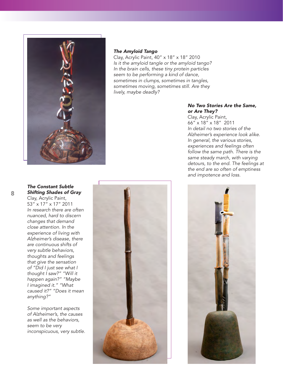

### *The Amyloid Tango*

Clay, Acrylic Paint, 40" x 18" x 18" 2010 *Is it the amyloid tangle or the amyloid tango? In the brain cells, these tiny protein particles seem to be performing a kind of dance, sometimes in clumps, sometimes in tangles, sometimes moving, sometimes still. Are they lively, maybe deadly?*

# *No Two Stories Are the Same, or Are They?*

Clay, Acrylic Paint, 66" x 18" x 18" 2011 *In detail no two stories of the Alzheimer's experience look alike. In general, the various stories, experiences and feelings often follow the same path. There is the same steady march, with varying detours, to the end. The feelings at the end are so often of emptiness and impotence and loss.*





*Shifting Shades of Gray*

Clay, Acrylic Paint, 53" x 17" x 17" 2011 *In research there are often nuanced, hard to discern changes that demand close attention. In the experience of living with Alzheimer's disease, there are continuous shifts of very subtle behaviors, thoughts and feelings that give the sensation of "Did I just see what I thought I saw?" "Will it happen again?" "Maybe I imagined it." "What caused it?" "Does it mean anything?"*

*The Constant Subtle* 

*Some important aspects of Alzheimer's, the causes as well as the behaviors, seem to be very inconspicuous, very subtle.*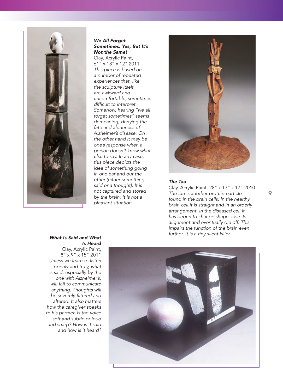

### *We All Forget Sometimes. Yes, But It's Not the Same!*

Clay, Acrylic Paint, 61" x 18" x 12" 2011 *This piece is based on a number of repeated experiences that, like the sculpture itself, are awkward and uncomfortable, sometimes difficult to interpret. Somehow, hearing "we all forget sometimes" seems demeaning, denying the fate and aloneness of Alzheimer's disease. On the other hand it may be one's response when a person doesn't know what else to say. In any case, this piece depicts the idea of something going in one ear and out the other (either something said or a thought). It is not captured and stored by the brain. It is not a pleasant situation.* 



#### *The Tau*

Clay, Acrylic Paint, 28" x 17" x 17" 2010 *The tau is another protein particle found in the brain cells. In the healthy brain cell it is straight and in an orderly arrangement. In the diseased cell it has begun to change shape, lose its alignment and eventually die off. This impairs the function of the brain even further. It is a tiny silent killer.*

### *What Is Said and What Is Heard*

Clay, Acrylic Paint, 8" x 9" x 15" 2011 *Unless we learn to listen openly and truly, what is said, especially by the one with Alzheimer's, will fail to communicate anything. Thoughts will be severely filtered and altered. It also matters how the caregiver speaks to his partner. Is the voice soft and subtle or loud and sharp? How is it said and how is it heard?*

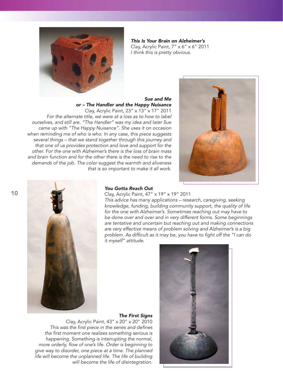

*This Is Your Brain on Alzheimer's* Clay, Acrylic Paint, 7" x 6" x 6" 2011 *I think this is pretty obvious.*

### *Sue and Me or – The Handler and the Happy Nuisance*

Clay, Acrylic Paint, 23" x 13" x 17" 2011 *For the alternate title, we were at a loss as to how to label ourselves, and still are. "The Handler" was my idea and later Sue came up with "The Happy Nuisance". She uses it on occasion when reminding me of who is who. In any case, this piece suggests several things – that we stand together through this journey and that one of us provides protection and love and support for the other. For the one with Alzheimer's there is the loss of brain mass and brain function and for the other there is the need to rise to the demands of the job. The color suggest the warmth and aliveness that is so important to make it all work.*





### *You Gotta Reach Out*

Clay, Acrylic Paint, 47" x 19" x 19" 2011

*This advice has many applications – research, caregiving, seeking knowledge, funding, building community support, the quality of life for the one with Alzheimer's. Sometimes reaching out may have to be done over and over and in very different forms. Some beginnings are tentative and uncertain but reaching out and making connections are very effective means of problem solving and Alzheimer's is a big problem. As difficult as it may be, you have to fight off the "I can do it myself" attitude.*

*The First Signs* Clay, Acrylic Paint, 43" x 20" x 20" 2010 *This was the first piece in the series and defines the first moment one realizes something serious is happening. Something is interrupting the normal, more orderly, flow of one's life. Order is beginning to give way to disorder, one piece at a time. The planned life will become the unplanned life. The life of building will become the life of disintegration.*

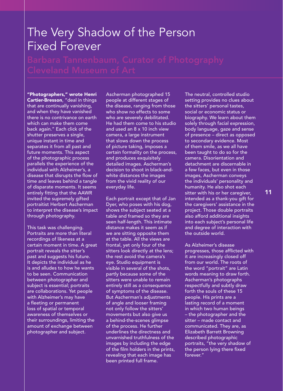# The Very Shadow of the Person Fixed Forever

"Photographers," wrote Henri Cartier-Bresson, "deal in things that are continually vanishing, and when they have vanished there is no contrivance on earth which can make them come back again." Each click of the shutter preserves a single, unique instant in time and separates it from all past and future moments. This aspect of the photographic process parallels the experience of the individual with Alzheimer's, a disease that disrupts the flow of time and leaves behind a tangle of disparate moments. It seems entirely fitting that the AAWR invited the supremely gifted portraitist Herbert Ascherman to interpret the disease's impact through photography.

This task was challenging. Portraits are more than literal recordings of likeness at a certain moment in time. A great portrait reveals the sitter's past and suggests his future. It depicts the individual as he is and alludes to how he wants to be seen. Communication between photographer and subject is essential; portraits are collaborations. Yet people with Alzheimer's may have a fleeting or permanent loss of spatial or temporal awareness of themselves or their surroundings, limiting the amount of exchange between photographer and subject.

Ascherman photographed 15 people at different stages of the disease, ranging from those who show no effects to some who are severely debilitated. He had them come to his studio and used an 8 x 10 inch view camera, a large instrument that slows down the process of picture taking, imposes a certain formality on the process, and produces exquisitely detailed images. Ascherman's decision to shoot in black-andwhite distances the images from the vivid reality of our everyday life.

Each portrait except that of Jan Dyer, who poses with his dog, shows the subject seated at a table and framed so they are seen half-length. This intimate distance makes it seem as if we are sitting opposite them at the table. All the views are frontal, yet only four of the sitters look directly at the lens; the rest avoid the camera's eye. Studio equipment is visible in several of the shots, partly because some of the sitters were unable to remain entirely still as a consequence of symptoms of the disease. But Ascherman's adjustments of angle and looser framing not only follow the sitters' movements but also give us a behind-the-scenes glimpse of the process. He further underlines the directness and unvarnished truthfulness of the images by including the edge of the film holders in the prints, revealing that each image has been printed full frame.

The neutral, controlled studio setting provides no clues about the sitters' personal tastes, social or economic status or biography. We learn about them solely through facial expression, body language, gaze and sense of presence – direct as opposed to secondary evidence. Most of them smile, as we all have been taught to do so for the camera. Disorientation and detachment are discernable in a few faces, but even in those images, Ascherman conveys the individuals' personality and humanity. He also shot each sitter with his or her caregiver, intended as a thank-you gift for the caregivers' assistance in the project. Those double portraits also afford additional insights into each subject's personal life and degree of interaction with the outside world.

As Alzheimer's disease progresses, those afflicted with it are increasingly closed off from our world. The roots of the word "portrait" are Latin words meaning to draw forth. Ascherman's photographs respectfully and subtly draw forth the souls of these 15 people. His prints are a lasting record of a moment in which two human beings – the photographer and the sitter – made contact and communicated. They are, as Elizabeth Barrett Browning described photographic portraits, "the very shadow of the person lying there fixed forever."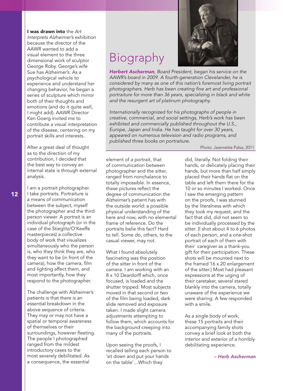I was drawn into the *Art Interprets Alzheimer's* exhibition because the director of the AAWR wanted to add a visual element to the three dimensional work of sculptor George Roby. George's wife Sue has Alzheimer's. As a psychological vehicle to experience and understand her changing behavior, he began a series of sculpture which mirror both of their thoughts and emotions (and do it quite well, I might add). AAWR Director Ken Goerg invited me to contribute a visual interpretation of the disease, centering on my portrait skills and interests.

After a great deal of thought as to the direction of my contribution, I decided that the best way to convey an internal state is through external analysis.

I am a portrait photographer. I take portraits. Portraiture is a means of communication between the subject, myself the photographer and the third person viewer. A portrait is an individual photograph (or in the case of the Stieglitz/O'Keeffe masterpieces) a collective body of work that visualizes simultaneously who the person is, who they think they are, who they want to be (in front of the camera), how the camera, film and lighting affect them, and most importantly, how they respond to the photographer.

The challenge with Alzheimer's patients is that there is an essential breakdown in the above sequence of criteria. They may or may not have a spatial or temporal awareness of themselves or their surroundings, however fleeting. The people I photographed ranged from the mildest introductory cases to the most severely debilitated. As a consequence, the essential

# Biography

*Herbert Ascherman, Board President, began his service on the AAWR's board in 2009. A fourth-generation Clevelander, he is considered by many as one of this nation's foremost living portrait photographers. Herb has been creating fine art and professional portraiture for more than 36 years, specializing in black and white and the resurgent art of platinum photography.* 

*Internationally recognized for his photographs of people in creative, commercial, and social settings, Herb's work has been exhibited and commercially published throughout the U.S., Europe, Japan and India. He has taught for over 30 years, appeared on numerous television and radio programs, and published three books on portraiture.*

Photo: Jeannette Palsa, 2011

element of a portrait, that of communication between photographer and the sitter, ranged from nonchalance to totally impossible. In essence, these pictures reflect the degree of communication the Alzheimer's patient has with the outside world: a possible physical understanding of the here and now, with no elemental frame of reference. Do the portraits belie this fact? Hard to tell. Some do, others, to the casual viewer, may not.

What I found absolutely fascinating was the position of the sitter in front of the camera. I am working with an 8 x 10 Deardorff which, once focused, is loaded and the shutter tripped. Most subjects moved in that second or two of the film being loaded, dark slide removed and exposure taken. I made slight camera adjustments attempting to follow them, which accounts for the background creeping into many of the portraits.

Upon seeing the proofs, I recalled telling each person to 'sit down and put your hands on the table'…Which they

did, literally. Not folding their hands, or delicately placing their hands, but more than half simply placed their hands flat on the table and left them there for the 10 or so minutes I worked. Once I saw the emerging pattern on the proofs, I was stunned by the literalness with which they took my request, and the fact that did, did not seem to be individually processed by the sitter. (I shot about 4 to 6 photos of each person, and a one-shot portrait of each of them with their caregiver as a thank-you gift for their participation. These shots will be mounted next to the framed 16 x 20 enlargement of the sitter.) Most had pleasant expressions at the urging of their caretaker, several stared blankly into the camera, totally unaware of the experience we were sharing. A few responded with a smile.

As a single body of work, these 15 portraits and their accompanying family shots convey a brief look at both the interior and exterior of a horribly debilitating experience.

*– Herb Ascherman*

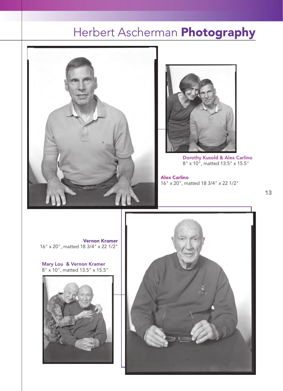# Herbert Ascherman Photography





Dorothy Kusold & Alex Carlino 8" x 10", matted 13.5" x 15.5"

Alex Carlino 16" x 20", matted 18 3/4" x 22 1/2"

Vernon Kramer 16" x 20", matted 18 3/4" x 22 1/2"

Mary Lou & Vernon Kramer 8" x 10", matted 13.5" x 15.5"



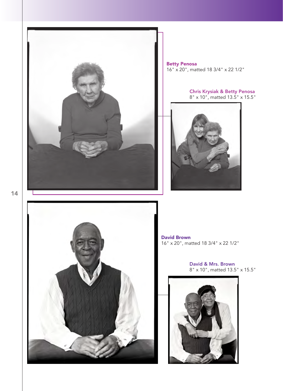

Betty Penosa 16" x 20", matted 18 3/4" x 22 1/2"

#### Chris Krysiak & Betty Penosa 8" x 10", matted 13.5" x 15.5"





David Brown 16" x 20", matted 18 3/4" x 22 1/2"

> David & Mrs. Brown 8" x 10", matted 13.5" x 15.5"

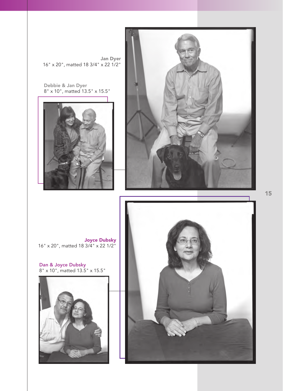

Dan & Joyce Dubsky 8" x 10", matted 13.5" x 15.5"

Joyce Dubsky 16" x 20", matted 18 3/4" x 22 1/2"





Debbie & Jan Dyer 8" x 10", matted 13.5" x 15.5"

Jan Dyer 16" x 20", matted 18 3/4" x 22 1/2"

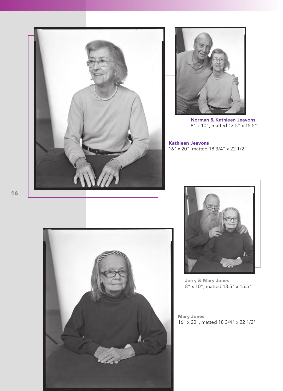



Norman & Kathleen Jeavons 8" x 10", matted 13.5" x 15.5"

Kathleen Jeavons 16" x 20", matted 18 3/4" x 22 1/2"





Jerry & Mary Jones 8" x 10", matted 13.5" x 15.5"

Mary Jones 16" x 20", matted 18 3/4" x 22 1/2"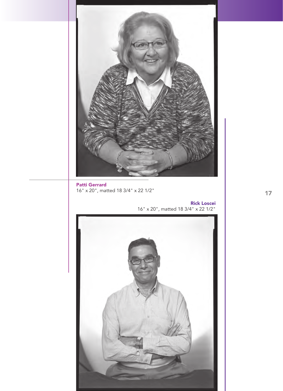

Patti Gerrard 16" x 20", matted 18 3/4" x 22 1/2"

Rick Loscei 16" x 20", matted 18 3/4" x 22 1/2"

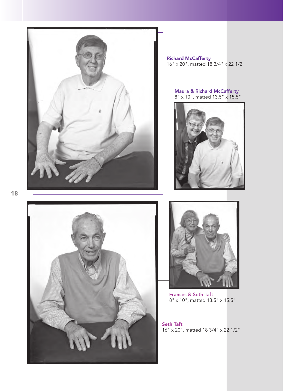

Richard McCafferty 16" x 20", matted 18 3/4" x 22 1/2"

Maura & Richard McCafferty 8" x 10", matted 13.5" x 15.5"







Frances & Seth Taft 8" x 10", matted 13.5" x 15.5"

Seth Taft 16" x 20", matted 18 3/4" x 22 1/2"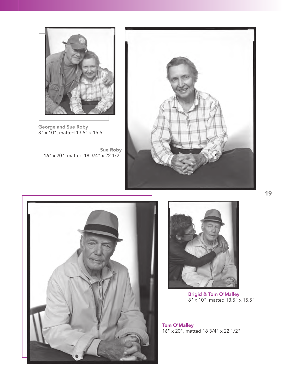

George and Sue Roby 8" x 10", matted 13.5" x 15.5"

Sue Roby 16" x 20", matted 18 3/4" x 22 1/2"







Brigid & Tom O'Malley 8" x 10", matted 13.5" x 15.5"

Tom O'Malley 16" x 20", matted 18 3/4" x 22 1/2"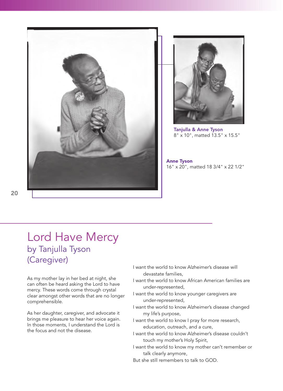



Tanjulla & Anne Tyson 8" x 10", matted 13.5" x 15.5"

Anne Tyson 16" x 20", matted 18 3/4" x 22 1/2"

# Lord Have Mercy by Tanjulla Tyson (Caregiver)

As my mother lay in her bed at night, she can often be heard asking the Lord to have mercy. These words come through crystal clear amongst other words that are no longer comprehensible.

As her daughter, caregiver, and advocate it brings me pleasure to hear her voice again. In those moments, I understand the Lord is the focus and not the disease.

- I want the world to know Alzheimer's disease will devastate families,
- I want the world to know African American families are under-represented,
- I want the world to know younger caregivers are under-represented,
- I want the world to know Alzheimer's disease changed my life's purpose,
- I want the world to know I pray for more research, education, outreach, and a cure,
- I want the world to know Alzheimer's disease couldn't touch my mother's Holy Spirit,
- I want the world to know my mother can't remember or talk clearly anymore,
- But she still remembers to talk to GOD.

20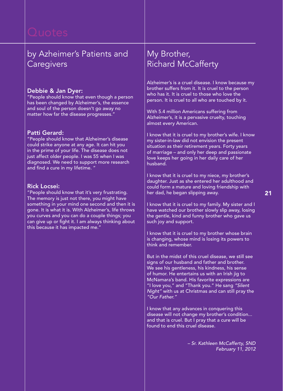# by Azheimer's Patients and **Caregivers**

# Debbie & Jan Dyer:

"People should know that even though a person has been changed by Alzheimer's, the essence and soul of the person doesn't go away no matter how far the disease progresses."

# Patti Gerard:

"People should know that Alzheimer's disease could strike anyone at any age. It can hit you in the prime of your life. The disease does not just affect older people. I was 55 when I was diagnosed. We need to support more research and find a cure in my lifetime. "

# Rick Locsei:

"People should know that it's very frustrating. The memory is just not there, you might have something in your mind one second and then it is gone. It is what it is. With Alzheimer's, life throws you curves and you can do a couple things; you can give up or fight it. I am always thinking about this because it has impacted me."

# My Brother, Richard McCafferty

Alzheimer's is a cruel disease. I know because my brother suffers from it. It is cruel to the person who has it. It is cruel to those who love the person. It is cruel to all who are touched by it.

With 5.4 million Americans suffering from Alzheimer's, it is a pervasive cruelty, touching almost every American.

I know that it is cruel to my brother's wife. I know my sister-in-law did not envision the present situation as their retirement years. Forty years of marriage – and only her deep and passionate love keeps her going in her daily care of her husband.

I know that it is cruel to my niece, my brother's daughter. Just as she entered her adulthood and could form a mature and loving friendship with her dad, he began slipping away.

I know that it is cruel to my family. My sister and I have watched our brother slowly slip away, losing the gentle, kind and funny brother who gave us such joy and support.

I know that it is cruel to my brother whose brain is changing, whose mind is losing its powers to think and remember.

But in the midst of this cruel disease, we still see signs of our husband and father and brother. We see his gentleness, his kindness, his sense of humor. He entertains us with an Irish jig to McNamara's band. His favorite expressions are "I love you," and "Thank you." He sang *"Silent Night"* with us at Christmas and can still pray the *"Our Father."*

I know that any advances in conquering this disease will not change my brother's condition... and that is cruel. But I pray that a cure will be found to end this cruel disease.

> *– Sr. Kathleen McCafferty, SND February 11, 2012*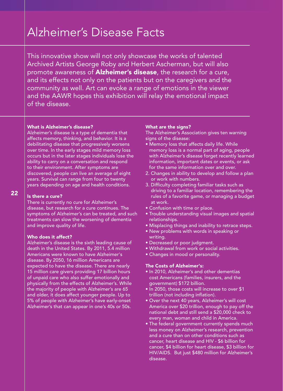# Alzheimer's Disease Facts

This innovative show will not only showcase the works of talented Archived Artists George Roby and Herbert Ascherman, but will also promote awareness of **Alzheimer's disease**, the research for a cure, and its effects not only on the patients but on the caregivers and the community as well. Art can evoke a range of emotions in the viewer and the AAWR hopes this exhibition will relay the emotional impact of the disease.

### What is Alzheimer's disease?

Alzheimer's disease is a type of dementia that affects memory, thinking, and behavior. It is a debilitating disease that progressively worsens over time. In the early stages mild memory loss occurs but in the later stages individuals lose the ability to carry on a conversation and respond to their environment. After symptoms are discovered, people can live an average of eight years. Survival can range from four to twenty years depending on age and health conditions.

# Is there a cure?

There is currently no cure for Alzheimer's disease, but research for a cure continues. The symptoms of Alzheimer's can be treated, and such treatments can slow the worsening of dementia and improve quality of life.

# Who does it affect?

Alzheimer's disease is the sixth leading cause of death in the United States. By 2011, 5.4 million Americans were known to have Alzheimer's disease. By 2050, 16 million Americans are expected to have the disease. There are nearly 15 million care givers providing 17 billion hours of unpaid care who also suffer emotionally and physically from the effects of Alzheimer's. While the majority of people with Alzheimer's are 65 and older, it does affect younger people. Up to 5% of people with Alzheimer's have early-onset Alzheimer's that can appear in one's 40s or 50s.

# What are the signs?

The Alzheimer's Association gives ten warning signs of the disease:

- Memory loss that affects daily life. While memory loss is a normal part of aging, people with Alzheimer's disease forget recently learned information, important dates or events, or ask for the same information over and over.
- 2. Changes in ability to develop and follow a plan or work with numbers.
- 3. Difficulty completing familiar tasks such as driving to a familiar location, remembering the rules of a favorite game, or managing a budget at work.
- Confusion with time or place.
- Trouble understanding visual images and spatial relationships.
- Misplacing things and inability to retrace steps.
- New problems with words in speaking or writing.
- Decreased or poor judgment.
- Withdrawal from work or social activities.
- Changes in mood or personality.

# The Costs of Alzheimer's:

- In 2010, Alzheimer's and other dementias cost Americans (families, insurers, and the government) \$172 billion.
- In 2050, those costs will increase to over \$1 trillion (not including inflation).
- Over the next 40 years, Alzheimer's will cost America over \$20 trillion, enough to pay off the national debt and still send a \$20,000 check to every man, woman and child in America.
- The federal government currently spends much less money on Alzheimer's research, prevention and a cure than on other conditions such as cancer, heart disease and HIV - \$6 billion for cancer, \$4 billion for heart disease, \$3 billion for HIV/AIDS. But just \$480 million for Alzheimer's disease.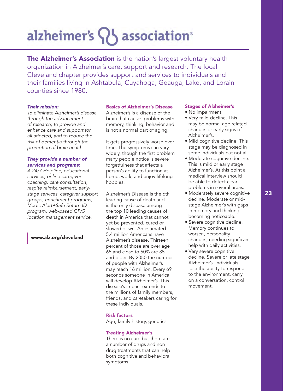# alzheimer's  $\{ \}$  association<sup>®</sup>

The Alzheimer's Association is the nation's largest voluntary health organization in Alzheimer's care, support and research. The local Cleveland chapter provides support and services to individuals and their families living in Ashtabula, Cuyahoga, Geauga, Lake, and Lorain counties since 1980.

### *Their mission:*

*To eliminate Alzheimer's disease through the advancement of research; to provide and enhance care and support for all affected; and to reduce the risk of dementia through the promotion of brain health.*

# *They provide a number of services and programs:*

*A 24/7 Helpline, educational services, online caregiver coaching, care consultation, respite reimbursement, earlystage services, caregiver support groups, enrichment programs, Medic Alert+Safe Return ID program, web-based GP/S location management service.* 

www.alz.org/cleveland

### Basics of Alzheimer's Disease

Alzheimer's is a disease of the brain that causes problems with memory, thinking, behavior and is not a normal part of aging.

It gets progressively worse over time. The symptoms can vary widely, though the first problem many people notice is severe forgetfulness that affects a person's ability to function at home, work, and enjoy lifelong hobbies.

Alzheimer's Disease is the 6th leading cause of death and is the only disease among the top 10 leading causes of death in America that cannot yet be prevented, cured or slowed down. An estimated 5.4 million Americans have Alzheimer's disease. Thirteen percent of those are over age 65 and close to 50% are 85 and older. By 2050 the number of people with Alzheimer's may reach 16 million. Every 69 seconds someone in America will develop Alzheimer's. This disease's impact extends to the millions of family members, friends, and caretakers caring for these individuals.

# Risk factors

Age, family history, genetics.

# Treating Alzheimer's

There is no cure but there are a number of drugs and non drug treatments that can help both cognitive and behavioral symptoms.

#### Stages of Alzheimer's

- No impairment
- Very mild decline. This may be normal age related changes or early signs of Alzheimer's.
- Mild cognitive decline. This stage may be diagnosed in some individuals but not all.
- Moderate cognitive decline. This is mild or early stage Alzheimer's. At this point a medical interview should be able to detect clear problems in several areas.
- Moderately severe cognitive decline. Moderate or midstage Alzheimer's with gaps in memory and thinking becoming noticeable.
- Severe cognitive decline. Memory continues to worsen, personality changes, needing significant help with daily activities.
- Very severe cognitive decline. Severe or late stage Alzheimer's. Individuals lose the ability to respond to the environment, carry on a conversation, control movement.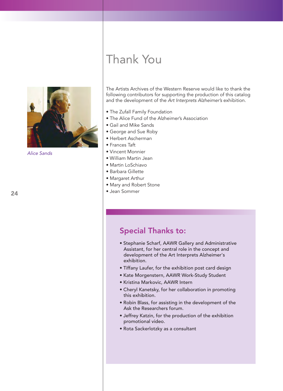

*Alice Sands*

# Thank You

The Artists Archives of the Western Reserve would like to thank the following contributors for supporting the production of this catalog and the development of the *Art Interprets Alzheimer's* exhibition.

- The Zufall Family Foundation
- The Alice Fund of the Alzheimer's Association
- Gail and Mike Sands
- George and Sue Roby
- Herbert Ascherman
- Frances Taft
- Vincent Monnier
- William Martin Jean
- Martin LoSchiavo
- Barbara Gillette
- Margaret Arthur
- Mary and Robert Stone
- Jean Sommer

# Special Thanks to:

- Stephanie Scharf, AAWR Gallery and Administrative Assistant, for her central role in the concept and development of the Art Interprets Alzheimer's exhibition.
- Tiffany Laufer, for the exhibition post card design
- Kate Morgenstern, AAWR Work-Study Student
- Kristina Markovic, AAWR Intern
- Cheryl Kanetsky, for her collaboration in promoting this exhibition.
- Robin Blass, for assisting in the development of the Ask the Researchers forum.
- Jeffrey Katzin, for the production of the exhibition promotional video.
- Rota Sackerlotzky as a consultant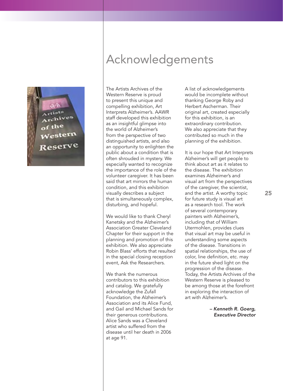

# Acknowledgements

The Artists Archives of the Western Reserve is proud to present this unique and compelling exhibition, Art Interprets Alzheimer's. AAWR staff developed this exhibition as an insightful glimpse into the world of Alzheimer's from the perspective of two distinguished artists, and also an opportunity to enlighten the public about a condition that is often shrouded in mystery. We especially wanted to recognize the importance of the role of the volunteer caregiver. It has been said that art mirrors the human condition, and this exhibition visually describes a subject that is simultaneously complex, disturbing, and hopeful.

We would like to thank Cheryl Kanetsky and the Alzheimer's Association Greater Cleveland Chapter for their support in the planning and promotion of this exhibition. We also appreciate Robin Blass' efforts that resulted in the special closing reception event, Ask the Researchers.

We thank the numerous contributors to this exhibition and catalog. We gratefully acknowledge the Zufall Foundation, the Alzheimer's Association and its Alice Fund, and Gail and Michael Sands for their generous contributions. Alice Sands was a Cleveland artist who suffered from the disease until her death in 2006 at age 91.

A list of acknowledgements would be incomplete without thanking George Roby and Herbert Ascherman. Their original art, created especially for this exhibition, is an extraordinary contribution. We also appreciate that they contributed so much in the planning of the exhibition.

It is our hope that Art Interprets Alzheimer's will get people to think about art as it relates to the disease. The exhibition examines Alzheimer's and visual art from the perspectives of the caregiver, the scientist, and the artist. A worthy topic for future study is visual art as a research tool. The work of several contemporary painters with Alzheimer's, including that of William Utermohlen, provides clues that visual art may be useful in understanding some aspects of the disease. Transitions in spatial relationships, the use of color, line definition, etc. may in the future shed light on the progression of the disease. Today, the Artists Archives of the Western Reserve is pleased to be among those at the forefront in exploring the interaction of art with Alzheimer's.

> *– Kenneth R. Goerg, Executive Director*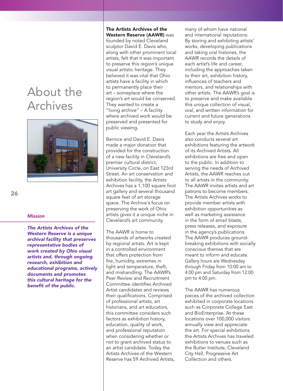# About the Archives



# 26

#### *Mission*

*The Artists Archives of the Western Reserve is a unique archival facility that preserves representative bodies of work created by Ohio visual artists and, through ongoing research, exhibition and educational programs, actively documents and promotes this cultural heritage for the benefit of the public.*

# The Artists Archives of the Western Reserve (AAWR) was founded by noted Cleveland

sculptor David E. Davis who, along with other prominent local artists, felt that it was important to preserve this region's unique visual artistic heritage. They believed it was vital that Ohio artists have a facility in which to permanently place their art – someplace where the region's art would be conserved. They wanted to create a "living archive" – A facility where archived work would be preserved and presented for public viewing.

Bernice and David E. Davis made a major donation that provided for the construction of a new facility in Cleveland's premier cultural district, University Circle, on East 123rd Street. An art conservation and exhibition facility, the Artists Archives has a 1,100 square foot art gallery and several thousand square feet of art storage space. The Archive's focus on preserving the work of Ohio artists gives it a unique niche in Cleveland's art community.

The AAWR is home to thousands of artworks created by regional artists. Art is kept in a controlled environment that offers protection from fire, humidity, extremes in light and temperature, theft, and mishandling. The AAWR's Peer Review and Recruitment Committee identifies Archived Artist candidates and reviews their qualifications. Comprised of professional artists, art historians, and art educators, this committee considers such factors as exhibition history, education, quality of work, and professional reputation when considering whether or not to grant archived status to an artist candidate. Today the Artists Archives of the Western Reserve has 59 Archived Artists, many of whom have national and international reputations. By storing and exhibiting artists' works, developing publications and taking oral histories, the AAWR records the details of each artist's life and career, including the approaches taken to their art, exhibition history, influences of teachers and mentors, and relationships with other artists. The AAWR's goal is to preserve and make available this unique collection of visual, oral, and written information for current and future generations to study and enjoy.

Each year the Artists Archives also conducts several art exhibitions featuring the artwork of its Archived Artists. All exhibitions are free and open to the public. In addition to serving the needs of Archived Artists, the AAWR reaches out to all artists in the community. The AAWR invites artists and art patrons to become members. The Artists Archives works to provide member artists with exhibition opportunities as well as marketing assistance in the form of email blasts, press releases, and exposure in the agency's publications. The AAWR produces groundbreaking exhibitions with socially conscious themes that are meant to inform and educate. Gallery hours are Wednesday through Friday from 10:00 am to 4:00 pm and Saturday from 12:00 pm to 4:00 pm.

The AAWR has numerous pieces of the archived collection exhibited in corporate locations such as Corporate College East and BioEnterprise. At these locations over 100,000 visitors annually view and appreciate the art. For special exhibitions the Artists Archives has traveled exhibitions to venues such as the Butler Institute, Cleveland City Hall, Progressive Art Collection and others.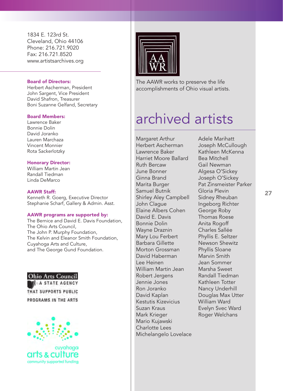1834 E. 123rd St. Cleveland, Ohio 44106 Phone: 216.721.9020 Fax: 216.721.8520 www.artistsarchives.org

# Board of Directors:

Herbert Ascherman, President John Sargent, Vice President David Shafron, Treasurer Boni Suzanne Gelfand, Secretary

### Board Members:

Lawrence Baker Bonnie Dolin David Joranko Lauren Marchaza Vincent Monnier Rota Sackerlotzky

# Honorary Director:

William Martin Jean Randall Tiedman Linda DeMarco

### AAWR Staff:

Kenneth R. Goerg, Executive Director Stephanie Scharf, Gallery & Admin. Asst.

### AAWR programs are supported by:

The Bernice and David E. Davis Foundation, The Ohio Arts Council, The John P. Murphy Foundation, The Kelvin and Eleanor Smith Foundation, Cuyahoga Arts and Culture, and The George Gund Foundation.

**Ohio Arts Council** A STATE AGENCY THAT SUPPORTS PUBLIC PROGRAMS IN THE ARTS



arts & culture community supported funding



The AAWR works to preserve the life accomplishments of Ohio visual artists.

# archived artists

Margaret Arthur Herbert Ascherman Lawrence Baker Harriet Moore Ballard Ruth Bercaw June Bonner Ginna Brand Marita Burger Samuel Butnik Shirley Aley Campbell John Clague Elaine Albers Cohen David E. Davis Bonnie Dolin Wayne Draznin Mary Lou Ferbert Barbara Gillette Morton Grossman David Haberman Lee Heinen William Martin Jean Robert Jergens Jennie Jones Ron Joranko David Kaplan Kestutis Kizevicius Suzan Kraus Mark Krieger Mario Kujawski Charlotte Lees Michelangelo Lovelace Adele Marihatt Joseph McCullough Kathleen McKenna Bea Mitchell Gail Newman Algesa O'Sickey Joseph O'Sickey Pat Zinsmeister Parker Gloria Plevin Sidney Rheuban Ingeborg Richter George Roby Thomas Roese Anita Rogoff Charles Sallée Phyllis E. Seltzer Newson Shewitz Phyllis Sloane Marvin Smith Jean Sommer Marsha Sweet Randall Tiedman Kathleen Totter Nancy Underhill Douglas Max Utter William Ward Evelyn Svec Ward Roger Welchans